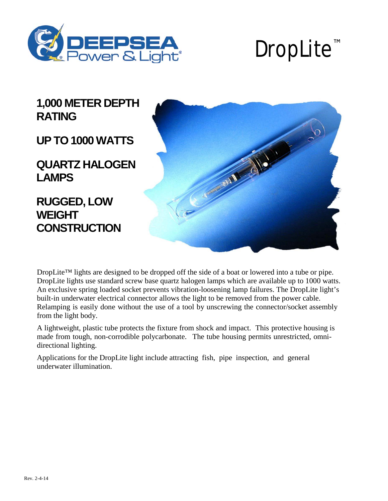

# DropLite<sup>"</sup>

**1,000 METER DEPTH RATING**

**UPTO 1000 WATTS** 

**QUARTZ HALOGEN LAMPS**

**RUGGED, LOW WEIGHT CONSTRUCTION**



DropLite™ lights are designed to be dropped off the side of a boat or lowered into a tube or pipe. DropLite lights use standard screw base quartz halogen lamps which are available up to 1000 watts. An exclusive spring loaded socket prevents vibration-loosening lamp failures. The DropLite light's built-in underwater electrical connector allows the light to be removed from the power cable. Relamping is easily done without the use of a tool by unscrewing the connector/socket assembly from the light body.

A lightweight, plastic tube protects the fixture from shock and impact. This protective housing is made from tough, non-corrodible polycarbonate. The tube housing permits unrestricted, omnidirectional lighting.

Applications for the DropLite light include attracting fish, pipe inspection, and general underwater illumination.